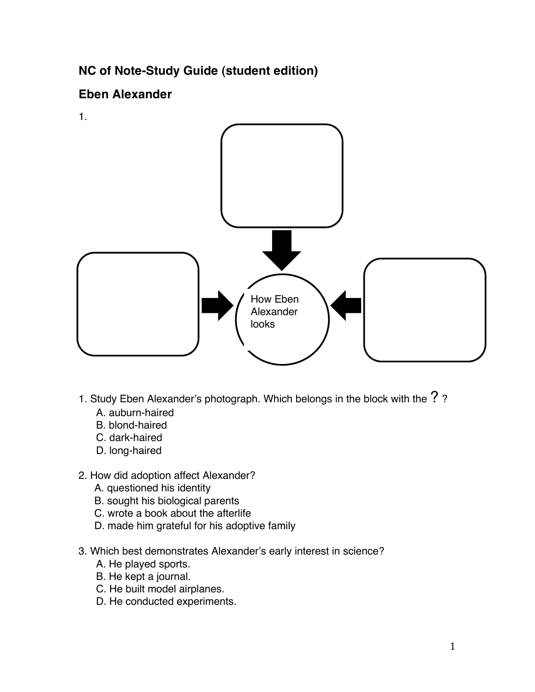## **NC of Note-Study Guide (student edition)**

## **Eben Alexander**

1.



- 1. Study Eben Alexander's photograph. Which belongs in the block with the ??
	- A. auburn-haired
	- B. blond-haired
	- C. dark-haired
	- D. long-haired

## 2. How did adoption affect Alexander?

- A. questioned his identity
- B. sought his biological parents
- C. wrote a book about the afterlife
- D. made him grateful for his adoptive family
- 3. Which best demonstrates Alexander's early interest in science?
	- A. He played sports.
	- B. He kept a journal.
	- C. He built model airplanes.
	- D. He conducted experiments.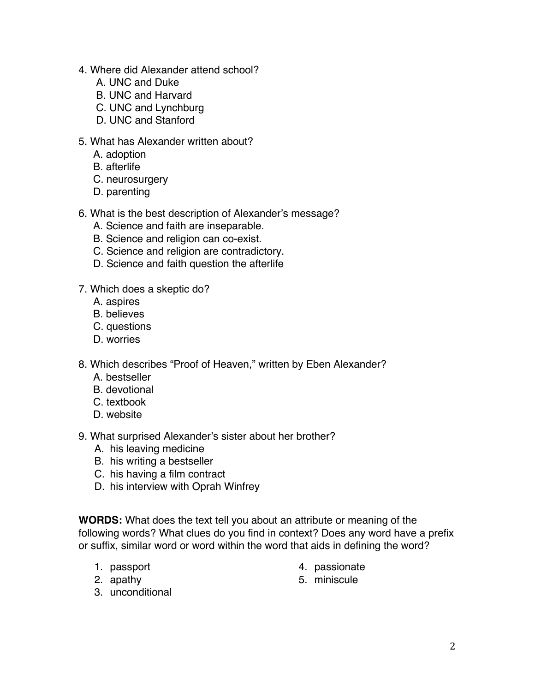- 4. Where did Alexander attend school?
	- A. UNC and Duke
	- B. UNC and Harvard
	- C. UNC and Lynchburg
	- D. UNC and Stanford
- 5. What has Alexander written about?
	- A. adoption
	- B. afterlife
	- C. neurosurgery
	- D. parenting
- 6. What is the best description of Alexander's message?
	- A. Science and faith are inseparable.
	- B. Science and religion can co-exist.
	- C. Science and religion are contradictory.
	- D. Science and faith question the afterlife
- 7. Which does a skeptic do?
	- A. aspires
	- B. believes
	- C. questions
	- D. worries
- 8. Which describes "Proof of Heaven," written by Eben Alexander?
	- A. bestseller
	- B. devotional
	- C. textbook
	- D. website
- 9. What surprised Alexander's sister about her brother?
	- A. his leaving medicine
	- B. his writing a bestseller
	- C. his having a film contract
	- D. his interview with Oprah Winfrey

**WORDS:** What does the text tell you about an attribute or meaning of the following words? What clues do you find in context? Does any word have a prefix or suffix, similar word or word within the word that aids in defining the word?

- 1. passport
- 2. apathy
- 4. passionate
- 5. miniscule

3. unconditional